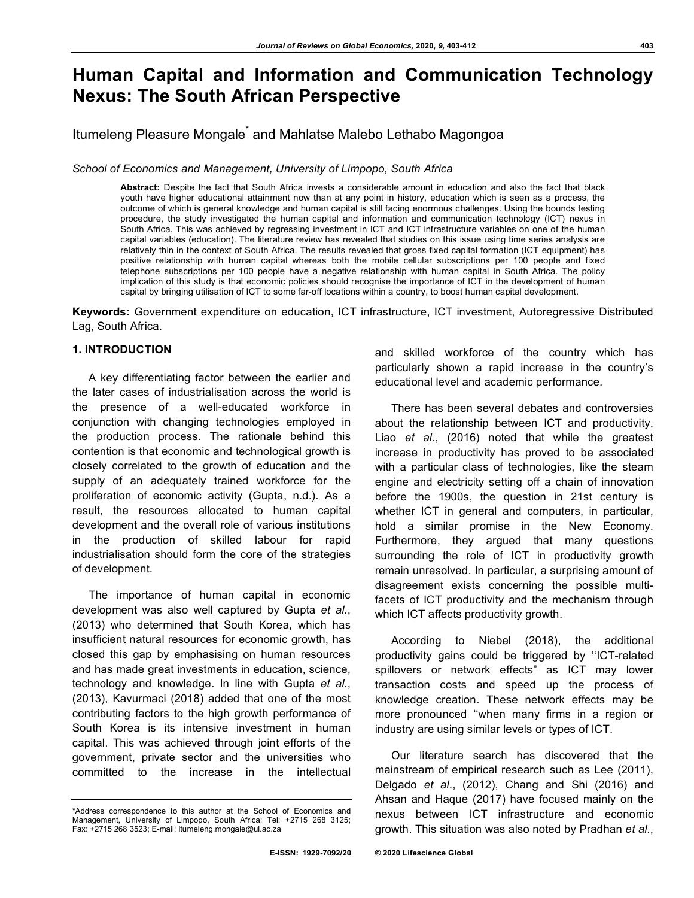# **Human Capital and Information and Communication Technology Nexus: The South African Perspective**

Itumeleng Pleasure Mongale<sup>\*</sup> and Mahlatse Malebo Lethabo Magongoa

*School of Economics and Management, University of Limpopo, South Africa*

**Abstract:** Despite the fact that South Africa invests a considerable amount in education and also the fact that black youth have higher educational attainment now than at any point in history, education which is seen as a process, the outcome of which is general knowledge and human capital is still facing enormous challenges. Using the bounds testing procedure, the study investigated the human capital and information and communication technology (ICT) nexus in South Africa. This was achieved by regressing investment in ICT and ICT infrastructure variables on one of the human capital variables (education). The literature review has revealed that studies on this issue using time series analysis are relatively thin in the context of South Africa. The results revealed that gross fixed capital formation (ICT equipment) has positive relationship with human capital whereas both the mobile cellular subscriptions per 100 people and fixed telephone subscriptions per 100 people have a negative relationship with human capital in South Africa. The policy implication of this study is that economic policies should recognise the importance of ICT in the development of human capital by bringing utilisation of ICT to some far-off locations within a country, to boost human capital development.

**Keywords:** Government expenditure on education, ICT infrastructure, ICT investment, Autoregressive Distributed Lag, South Africa.

# **1. INTRODUCTION**

A key differentiating factor between the earlier and the later cases of industrialisation across the world is the presence of a well-educated workforce in conjunction with changing technologies employed in the production process. The rationale behind this contention is that economic and technological growth is closely correlated to the growth of education and the supply of an adequately trained workforce for the proliferation of economic activity (Gupta, n.d.). As a result, the resources allocated to human capital development and the overall role of various institutions in the production of skilled labour for rapid industrialisation should form the core of the strategies of development.

The importance of human capital in economic development was also well captured by Gupta *et al*., (2013) who determined that South Korea, which has insufficient natural resources for economic growth, has closed this gap by emphasising on human resources and has made great investments in education, science, technology and knowledge. In line with Gupta *et al*., (2013), Kavurmaci (2018) added that one of the most contributing factors to the high growth performance of South Korea is its intensive investment in human capital. This was achieved through joint efforts of the government, private sector and the universities who committed to the increase in the intellectual

and skilled workforce of the country which has particularly shown a rapid increase in the country's educational level and academic performance.

There has been several debates and controversies about the relationship between ICT and productivity. Liao *et al*., (2016) noted that while the greatest increase in productivity has proved to be associated with a particular class of technologies, like the steam engine and electricity setting off a chain of innovation before the 1900s, the question in 21st century is whether ICT in general and computers, in particular, hold a similar promise in the New Economy. Furthermore, they argued that many questions surrounding the role of ICT in productivity growth remain unresolved. In particular, a surprising amount of disagreement exists concerning the possible multifacets of ICT productivity and the mechanism through which ICT affects productivity growth.

According to Niebel (2018), the additional productivity gains could be triggered by ''ICT-related spillovers or network effects" as ICT may lower transaction costs and speed up the process of knowledge creation. These network effects may be more pronounced ''when many firms in a region or industry are using similar levels or types of ICT.

Our literature search has discovered that the mainstream of empirical research such as Lee (2011), Delgado *et al*., (2012), Chang and Shi (2016) and Ahsan and Haque (2017) have focused mainly on the nexus between ICT infrastructure and economic growth. This situation was also noted by Pradhan *et al*.,

<sup>\*</sup>Address correspondence to this author at the School of Economics and Management, University of Limpopo, South Africa; Tel: +2715 268 3125; Fax: +2715 268 3523; E-mail: itumeleng.mongale@ul.ac.za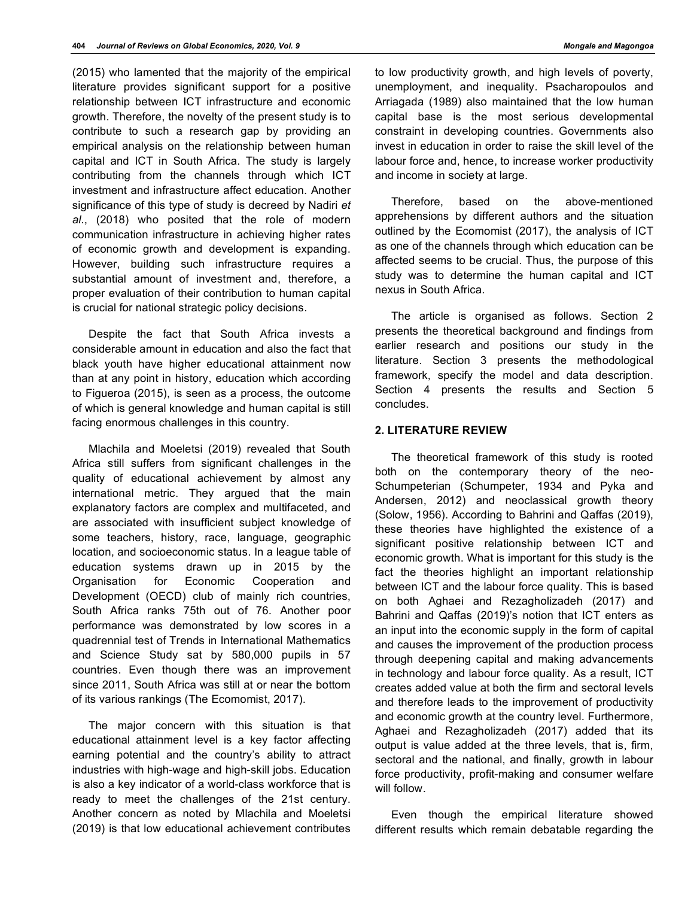(2015) who lamented that the majority of the empirical literature provides significant support for a positive relationship between ICT infrastructure and economic growth. Therefore, the novelty of the present study is to contribute to such a research gap by providing an empirical analysis on the relationship between human capital and ICT in South Africa. The study is largely contributing from the channels through which ICT investment and infrastructure affect education. Another significance of this type of study is decreed by Nadiri *et al*., (2018) who posited that the role of modern communication infrastructure in achieving higher rates of economic growth and development is expanding. However, building such infrastructure requires a substantial amount of investment and, therefore, a proper evaluation of their contribution to human capital is crucial for national strategic policy decisions.

Despite the fact that South Africa invests a considerable amount in education and also the fact that black youth have higher educational attainment now than at any point in history, education which according to Figueroa (2015), is seen as a process, the outcome of which is general knowledge and human capital is still facing enormous challenges in this country.

Mlachila and Moeletsi (2019) revealed that South Africa still suffers from significant challenges in the quality of educational achievement by almost any international metric. They argued that the main explanatory factors are complex and multifaceted, and are associated with insufficient subject knowledge of some teachers, history, race, language, geographic location, and socioeconomic status. In a league table of education systems drawn up in 2015 by the Organisation for Economic Cooperation and Development (OECD) club of mainly rich countries, South Africa ranks 75th out of 76. Another poor performance was demonstrated by low scores in a quadrennial test of Trends in International Mathematics and Science Study sat by 580,000 pupils in 57 countries. Even though there was an improvement since 2011, South Africa was still at or near the bottom of its various rankings (The Ecomomist, 2017).

The major concern with this situation is that educational attainment level is a key factor affecting earning potential and the country's ability to attract industries with high-wage and high-skill jobs. Education is also a key indicator of a world-class workforce that is ready to meet the challenges of the 21st century. Another concern as noted by Mlachila and Moeletsi (2019) is that low educational achievement contributes

to low productivity growth, and high levels of poverty, unemployment, and inequality. Psacharopoulos and Arriagada (1989) also maintained that the low human capital base is the most serious developmental constraint in developing countries. Governments also invest in education in order to raise the skill level of the labour force and, hence, to increase worker productivity and income in society at large.

Therefore, based on the above-mentioned apprehensions by different authors and the situation outlined by the Ecomomist (2017), the analysis of ICT as one of the channels through which education can be affected seems to be crucial. Thus, the purpose of this study was to determine the human capital and ICT nexus in South Africa.

The article is organised as follows. Section 2 presents the theoretical background and findings from earlier research and positions our study in the literature. Section 3 presents the methodological framework, specify the model and data description. Section 4 presents the results and Section 5 concludes.

# **2. LITERATURE REVIEW**

The theoretical framework of this study is rooted both on the contemporary theory of the neo-Schumpeterian (Schumpeter, 1934 and Pyka and Andersen, 2012) and neoclassical growth theory (Solow, 1956). According to Bahrini and Qaffas (2019), these theories have highlighted the existence of a significant positive relationship between ICT and economic growth. What is important for this study is the fact the theories highlight an important relationship between ICT and the labour force quality. This is based on both Aghaei and Rezagholizadeh (2017) and Bahrini and Qaffas (2019)'s notion that ICT enters as an input into the economic supply in the form of capital and causes the improvement of the production process through deepening capital and making advancements in technology and labour force quality. As a result, ICT creates added value at both the firm and sectoral levels and therefore leads to the improvement of productivity and economic growth at the country level. Furthermore, Aghaei and Rezagholizadeh (2017) added that its output is value added at the three levels, that is, firm, sectoral and the national, and finally, growth in labour force productivity, profit-making and consumer welfare will follow.

Even though the empirical literature showed different results which remain debatable regarding the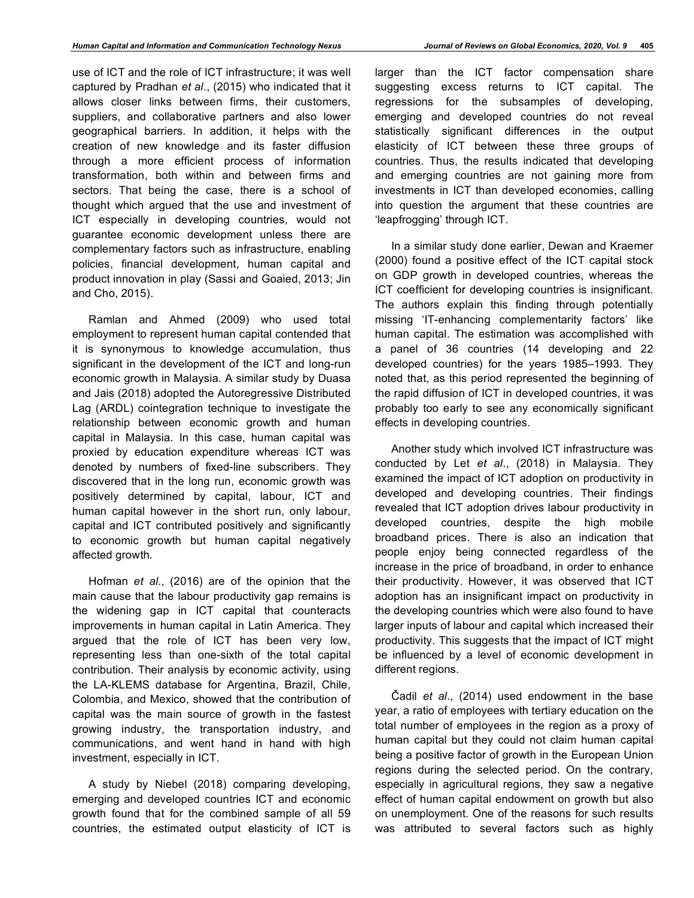use of ICT and the role of ICT infrastructure; it was well captured by Pradhan *et al*., (2015) who indicated that it allows closer links between firms, their customers, suppliers, and collaborative partners and also lower geographical barriers. In addition, it helps with the creation of new knowledge and its faster diffusion through a more efficient process of information transformation, both within and between firms and sectors. That being the case, there is a school of thought which argued that the use and investment of ICT especially in developing countries, would not guarantee economic development unless there are complementary factors such as infrastructure, enabling policies, financial development, human capital and product innovation in play (Sassi and Goaied, 2013; Jin and Cho, 2015).

Ramlan and Ahmed (2009) who used total employment to represent human capital contended that it is synonymous to knowledge accumulation, thus significant in the development of the ICT and long-run economic growth in Malaysia. A similar study by Duasa and Jais (2018) adopted the Autoregressive Distributed Lag (ARDL) cointegration technique to investigate the relationship between economic growth and human capital in Malaysia. In this case, human capital was proxied by education expenditure whereas ICT was denoted by numbers of fixed-line subscribers. They discovered that in the long run, economic growth was positively determined by capital, labour, ICT and human capital however in the short run, only labour, capital and ICT contributed positively and significantly to economic growth but human capital negatively affected growth.

Hofman *et al*., (2016) are of the opinion that the main cause that the labour productivity gap remains is the widening gap in ICT capital that counteracts improvements in human capital in Latin America. They argued that the role of ICT has been very low, representing less than one-sixth of the total capital contribution. Their analysis by economic activity, using the LA-KLEMS database for Argentina, Brazil, Chile, Colombia, and Mexico, showed that the contribution of capital was the main source of growth in the fastest growing industry, the transportation industry, and communications, and went hand in hand with high investment, especially in ICT.

A study by Niebel (2018) comparing developing, emerging and developed countries ICT and economic growth found that for the combined sample of all 59 countries, the estimated output elasticity of ICT is

larger than the ICT factor compensation share suggesting excess returns to ICT capital. The regressions for the subsamples of developing, emerging and developed countries do not reveal statistically significant differences in the output elasticity of ICT between these three groups of countries. Thus, the results indicated that developing and emerging countries are not gaining more from investments in ICT than developed economies, calling

into question the argument that these countries are

'leapfrogging' through ICT.

In a similar study done earlier, Dewan and Kraemer (2000) found a positive effect of the ICT capital stock on GDP growth in developed countries, whereas the ICT coefficient for developing countries is insignificant. The authors explain this finding through potentially missing 'IT-enhancing complementarity factors' like human capital. The estimation was accomplished with a panel of 36 countries (14 developing and 22 developed countries) for the years 1985–1993. They noted that, as this period represented the beginning of the rapid diffusion of ICT in developed countries, it was probably too early to see any economically significant effects in developing countries.

Another study which involved ICT infrastructure was conducted by Let *et al*., (2018) in Malaysia. They examined the impact of ICT adoption on productivity in developed and developing countries. Their findings revealed that ICT adoption drives labour productivity in developed countries, despite the high mobile broadband prices. There is also an indication that people enjoy being connected regardless of the increase in the price of broadband, in order to enhance their productivity. However, it was observed that ICT adoption has an insignificant impact on productivity in the developing countries which were also found to have larger inputs of labour and capital which increased their productivity. This suggests that the impact of ICT might be influenced by a level of economic development in different regions.

Čadil *et al*., (2014) used endowment in the base year, a ratio of employees with tertiary education on the total number of employees in the region as a proxy of human capital but they could not claim human capital being a positive factor of growth in the European Union regions during the selected period. On the contrary, especially in agricultural regions, they saw a negative effect of human capital endowment on growth but also on unemployment. One of the reasons for such results was attributed to several factors such as highly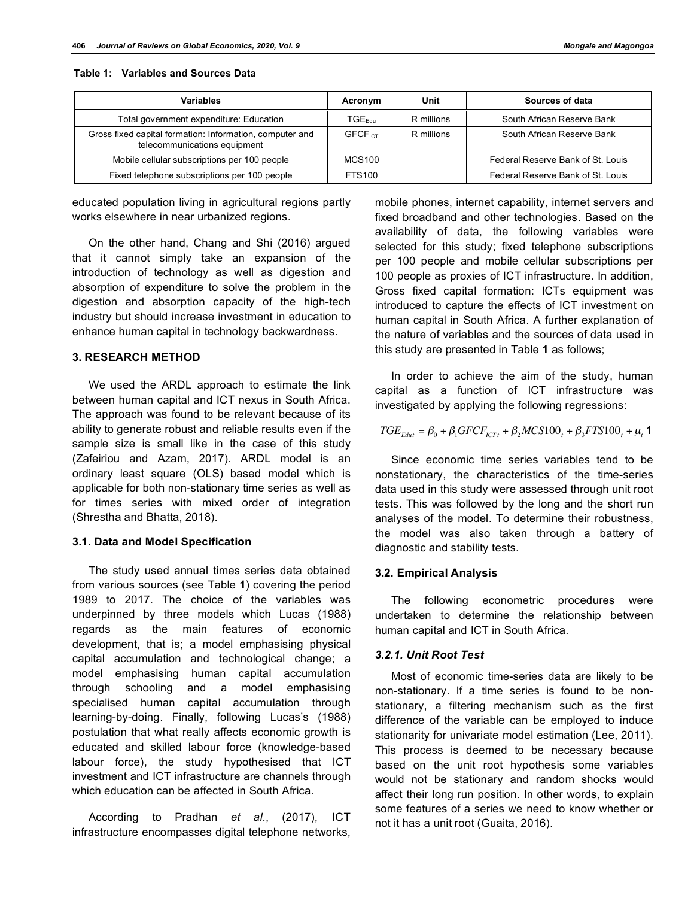| <b>Variables</b>                                                                         | Acronym                     | Unit       | Sources of data                   |
|------------------------------------------------------------------------------------------|-----------------------------|------------|-----------------------------------|
| Total government expenditure: Education                                                  | $\mathsf{TGE}_\mathsf{Fdm}$ | R millions | South African Reserve Bank        |
| Gross fixed capital formation: Information, computer and<br>telecommunications equipment | <b>GFCF</b> <sub>ICT</sub>  | R millions | South African Reserve Bank        |
| Mobile cellular subscriptions per 100 people                                             | <b>MCS100</b>               |            | Federal Reserve Bank of St. Louis |
| Fixed telephone subscriptions per 100 people                                             | FTS100                      |            | Federal Reserve Bank of St. Louis |

## **Table 1: Variables and Sources Data**

educated population living in agricultural regions partly works elsewhere in near urbanized regions.

On the other hand, Chang and Shi (2016) argued that it cannot simply take an expansion of the introduction of technology as well as digestion and absorption of expenditure to solve the problem in the digestion and absorption capacity of the high-tech industry but should increase investment in education to enhance human capital in technology backwardness.

# **3. RESEARCH METHOD**

We used the ARDL approach to estimate the link between human capital and ICT nexus in South Africa. The approach was found to be relevant because of its ability to generate robust and reliable results even if the sample size is small like in the case of this study (Zafeiriou and Azam, 2017). ARDL model is an ordinary least square (OLS) based model which is applicable for both non-stationary time series as well as for times series with mixed order of integration (Shrestha and Bhatta, 2018).

# **3.1. Data and Model Specification**

The study used annual times series data obtained from various sources (see Table **1**) covering the period 1989 to 2017. The choice of the variables was underpinned by three models which Lucas (1988) regards as the main features of economic development, that is; a model emphasising physical capital accumulation and technological change; a model emphasising human capital accumulation through schooling and a model emphasising specialised human capital accumulation through learning-by-doing. Finally, following Lucas's (1988) postulation that what really affects economic growth is educated and skilled labour force (knowledge-based labour force), the study hypothesised that ICT investment and ICT infrastructure are channels through which education can be affected in South Africa.

According to Pradhan *et al*., (2017), ICT infrastructure encompasses digital telephone networks, mobile phones, internet capability, internet servers and fixed broadband and other technologies. Based on the availability of data, the following variables were selected for this study; fixed telephone subscriptions per 100 people and mobile cellular subscriptions per 100 people as proxies of ICT infrastructure. In addition, Gross fixed capital formation: ICTs equipment was introduced to capture the effects of ICT investment on human capital in South Africa. A further explanation of the nature of variables and the sources of data used in this study are presented in Table **1** as follows;

In order to achieve the aim of the study, human capital as a function of ICT infrastructure was investigated by applying the following regressions:

$$
TGE_{E_{dut}} = \beta_0 + \beta_1 GFCF_{iCTt} + \beta_2 MCS100_t + \beta_3 FTS100_t + \mu_t
$$
1

Since economic time series variables tend to be nonstationary, the characteristics of the time-series data used in this study were assessed through unit root tests. This was followed by the long and the short run analyses of the model. To determine their robustness, the model was also taken through a battery of diagnostic and stability tests.

# **3.2. Empirical Analysis**

The following econometric procedures were undertaken to determine the relationship between human capital and ICT in South Africa.

# *3.2.1. Unit Root Test*

Most of economic time-series data are likely to be non-stationary. If a time series is found to be nonstationary, a filtering mechanism such as the first difference of the variable can be employed to induce stationarity for univariate model estimation (Lee, 2011). This process is deemed to be necessary because based on the unit root hypothesis some variables would not be stationary and random shocks would affect their long run position. In other words, to explain some features of a series we need to know whether or not it has a unit root (Guaita, 2016).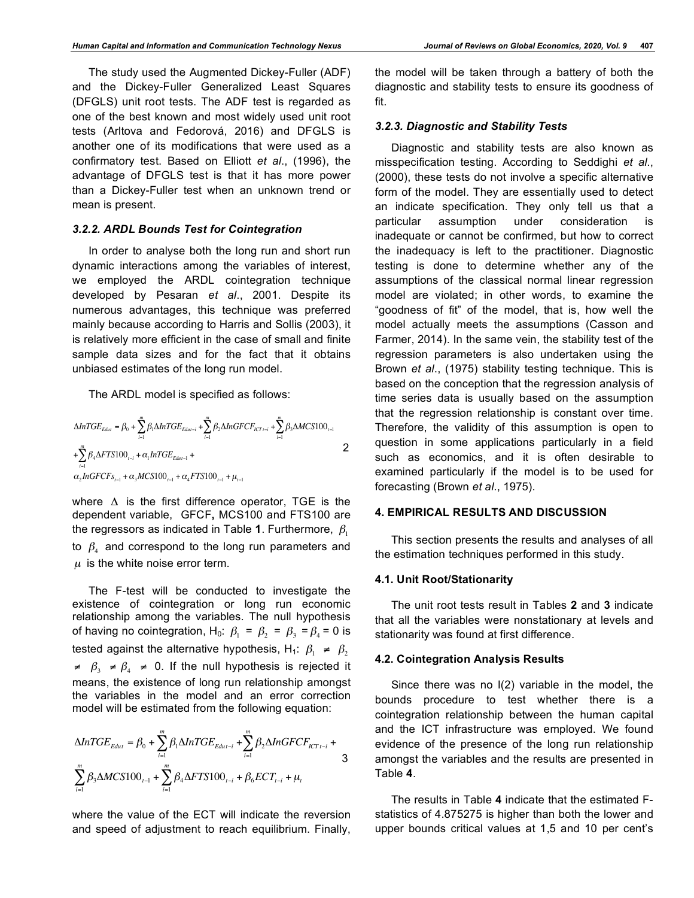The study used the Augmented Dickey-Fuller (ADF) and the Dickey-Fuller Generalized Least Squares (DFGLS) unit root tests. The ADF test is regarded as one of the best known and most widely used unit root tests (Arltova and Fedorová, 2016) and DFGLS is another one of its modifications that were used as a confirmatory test. Based on Elliott *et al*., (1996), the advantage of DFGLS test is that it has more power than a Dickey-Fuller test when an unknown trend or mean is present.

# *3.2.2. ARDL Bounds Test for Cointegration*

In order to analyse both the long run and short run dynamic interactions among the variables of interest, we employed the ARDL cointegration technique developed by Pesaran *et al*., 2001. Despite its numerous advantages, this technique was preferred mainly because according to Harris and Sollis (2003), it is relatively more efficient in the case of small and finite sample data sizes and for the fact that it obtains unbiased estimates of the long run model.

The ARDL model is specified as follows:

$$
\Delta InTGE_{E_{dut}} = \beta_0 + \sum_{i=1}^{m} \beta_i \Delta InTGE_{E_{dut-i}} + \sum_{i=1}^{m} \beta_2 \Delta InGFCF_{iCT_{i-i}} + \sum_{i=1}^{m} \beta_3 \Delta MCS100_{i-1} + \sum_{i=1}^{m} \beta_4 \Delta FTS100_{i-i} + \alpha_i InTGE_{E_{dut-1}} + \alpha_2 InGFCF_{s_{i-1}} + \alpha_3 MCS100_{i-1} + \alpha_4 FTS100_{i-1} + \mu_{i-1}
$$

where  $\Delta$  is the first difference operator, TGE is the dependent variable, GFCF**,** MCS100 and FTS100 are the regressors as indicated in Table 1. Furthermore,  $\beta_1$ to  $\beta_4$  and correspond to the long run parameters and  $\mu$  is the white noise error term.

The F-test will be conducted to investigate the existence of cointegration or long run economic relationship among the variables. The null hypothesis of having no cointegration, H<sub>0</sub>:  $\beta_1 = \beta_2 = \beta_3 = \beta_4 = 0$  is tested against the alternative hypothesis, H<sub>1</sub>:  $\beta_1 \neq \beta_2$  $\neq \beta_3 \neq \beta_4 \neq 0$ . If the null hypothesis is rejected it means, the existence of long run relationship amongst the variables in the model and an error correction model will be estimated from the following equation:

$$
\Delta InICE_{Educt} = \beta_0 + \sum_{i=1}^{m} \beta_i \Delta InICE_{Educt-i} + \sum_{i=1}^{m} \beta_2 \Delta InGFCF_{ICT \, t-i} + \sum_{i=1}^{m} \beta_3 \Delta MCS100_{t-1} + \sum_{i=1}^{m} \beta_4 \Delta FTS100_{t-i} + \beta_6 ECT_{t-i} + \mu_t
$$

where the value of the ECT will indicate the reversion and speed of adjustment to reach equilibrium. Finally,

the model will be taken through a battery of both the diagnostic and stability tests to ensure its goodness of fit.

## *3.2.3. Diagnostic and Stability Tests*

Diagnostic and stability tests are also known as misspecification testing. According to Seddighi *et al*., (2000), these tests do not involve a specific alternative form of the model. They are essentially used to detect an indicate specification. They only tell us that a particular assumption under consideration is inadequate or cannot be confirmed, but how to correct the inadequacy is left to the practitioner. Diagnostic testing is done to determine whether any of the assumptions of the classical normal linear regression model are violated; in other words, to examine the "goodness of fit" of the model, that is, how well the model actually meets the assumptions (Casson and Farmer, 2014). In the same vein, the stability test of the regression parameters is also undertaken using the Brown *et al*., (1975) stability testing technique. This is based on the conception that the regression analysis of time series data is usually based on the assumption that the regression relationship is constant over time. Therefore, the validity of this assumption is open to question in some applications particularly in a field such as economics, and it is often desirable to examined particularly if the model is to be used for forecasting (Brown *et al*., 1975).

# **4. EMPIRICAL RESULTS AND DISCUSSION**

This section presents the results and analyses of all the estimation techniques performed in this study.

## **4.1. Unit Root/Stationarity**

The unit root tests result in Tables **2** and **3** indicate that all the variables were nonstationary at levels and stationarity was found at first difference.

### **4.2. Cointegration Analysis Results**

Since there was no I(2) variable in the model, the bounds procedure to test whether there is a cointegration relationship between the human capital and the ICT infrastructure was employed. We found evidence of the presence of the long run relationship amongst the variables and the results are presented in Table **4**.

The results in Table **4** indicate that the estimated Fstatistics of 4.875275 is higher than both the lower and upper bounds critical values at 1,5 and 10 per cent's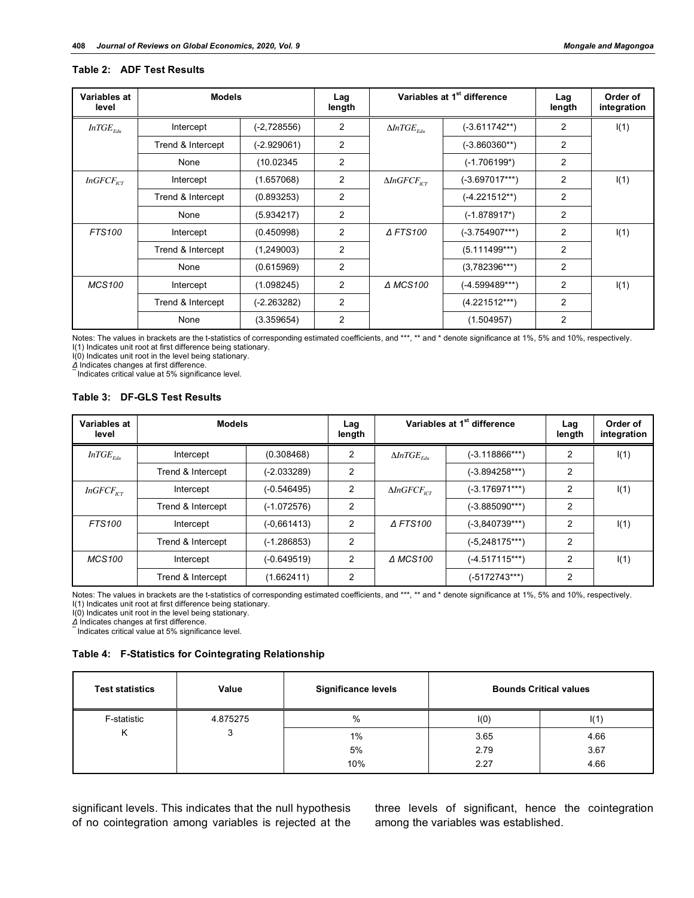# **Table 2: ADF Test Results**

| Variables at<br>level | <b>Models</b>     |                | Lag<br>length |                                | Variables at 1 <sup>st</sup> difference | Lag<br>length  | Order of<br>integration |
|-----------------------|-------------------|----------------|---------------|--------------------------------|-----------------------------------------|----------------|-------------------------|
| $InTGE_{Edu}$         | Intercept         | $(-2, 728556)$ | 2             | $\Delta ln TGE$ <sub>Edu</sub> | $(-3.611742**)$                         | 2              | I(1)                    |
|                       | Trend & Intercept | $(-2.929061)$  | 2             |                                | $(-3.860360**)$                         | 2              |                         |
|                       | None              | (10.02345)     | 2             |                                | $(-1.706199*)$                          | 2              |                         |
| $InGFCF_{ICT}$        | Intercept         | (1.657068)     | 2             | $\Delta InGFCF_{\text{rcr}}$   | $(-3.697017***)$                        | $\overline{2}$ | I(1)                    |
|                       | Trend & Intercept | (0.893253)     | 2             |                                | $(-4.221512**)$                         | $\overline{2}$ |                         |
|                       | None              | (5.934217)     | 2             |                                | $(-1.878917^*)$                         | $\overline{2}$ |                         |
| <b>FTS100</b>         | Intercept         | (0.450998)     | 2             | <b>AFTS100</b>                 | $(-3.754907***)$                        | 2              | I(1)                    |
|                       | Trend & Intercept | (1,249003)     | 2             |                                | $(5.111499***)$                         | 2              |                         |
|                       | None              | (0.615969)     | 2             |                                | $(3,782396***)$                         | $\overline{2}$ |                         |
| <b>MCS100</b>         | Intercept         | (1.098245)     | 2             | <b>A MCS100</b>                | $(-4.599489***)$                        | $\overline{2}$ | I(1)                    |
|                       | Trend & Intercept | (-2.263282)    | 2             |                                | $(4.221512***)$                         | $\overline{2}$ |                         |
|                       | None              | (3.359654)     | 2             |                                | (1.504957)                              | $\overline{2}$ |                         |

Notes: The values in brackets are the t-statistics of corresponding estimated coefficients, and \*\*\*, \*\* and \* denote significance at 1%, 5% and 10%, respectively. I(1) Indicates unit root at first difference being stationary.

I(0) Indicates unit root in the level being stationary.

*Δ* Indicates changes at first difference.<br>
"Indicates critical value at 5% significance level.

#### **Table 3: DF-GLS Test Results**

| Variables at<br>level | <b>Models</b>     |               | Lag<br>length |                                | Variables at 1 <sup>st</sup> difference | Lag<br>length  | Order of<br>integration |
|-----------------------|-------------------|---------------|---------------|--------------------------------|-----------------------------------------|----------------|-------------------------|
| $InTGE_{Edu}$         | Intercept         | (0.308468)    | 2             | $\Delta ln TGE$ <sub>Edu</sub> | $(-3.118866***)$                        | 2              | I(1)                    |
|                       | Trend & Intercept | $(-2.033289)$ | 2             |                                | $(-3.894258***)$                        | 2              |                         |
| $InGFCF_{\text{ICT}}$ | Intercept         | $(-0.546495)$ | 2             | $\Delta InGFCF_{\text{rcr}}$   | $(-3.176971***)$                        | 2              | I(1)                    |
|                       | Trend & Intercept | $(-1.072576)$ | 2             |                                | $(-3.885090***)$                        | 2              |                         |
| <b>FTS100</b>         | Intercept         | $(-0.661413)$ | 2             | $\triangle$ FTS100             | $(-3,840739***)$                        | 2              | I(1)                    |
|                       | Trend & Intercept | $(-1.286853)$ | 2             |                                | $(-5, 248175***)$                       | 2              |                         |
| MCS100                | Intercept         | $(-0.649519)$ | 2             | ∆ MCS100                       | $(-4.517115***)$                        | $\overline{2}$ | I(1)                    |
|                       | Trend & Intercept | (1.662411)    | 2             |                                | (-5172743***)                           | 2              |                         |

Notes: The values in brackets are the t-statistics of corresponding estimated coefficients, and \*\*\*, \*\* and \* denote significance at 1%, 5% and 10%, respectively. I(1) Indicates unit root at first difference being stationary.

I(0) Indicates unit root in the level being stationary.<br> $\Delta$  Indicates changes at first difference.

**1ndicates critical value at 5% significance level.** 

# **Table 4: F-Statistics for Cointegrating Relationship**

| <b>Test statistics</b> | Value    | <b>Significance levels</b> | <b>Bounds Critical values</b> |      |
|------------------------|----------|----------------------------|-------------------------------|------|
| F-statistic            | 4.875275 | %                          | I(0)                          | I(1) |
| Κ                      | J        | $1\%$                      | 3.65                          | 4.66 |
|                        |          | 5%                         | 2.79                          | 3.67 |
|                        |          | 10%                        | 2.27                          | 4.66 |

significant levels. This indicates that the null hypothesis of no cointegration among variables is rejected at the three levels of significant, hence the cointegration among the variables was established.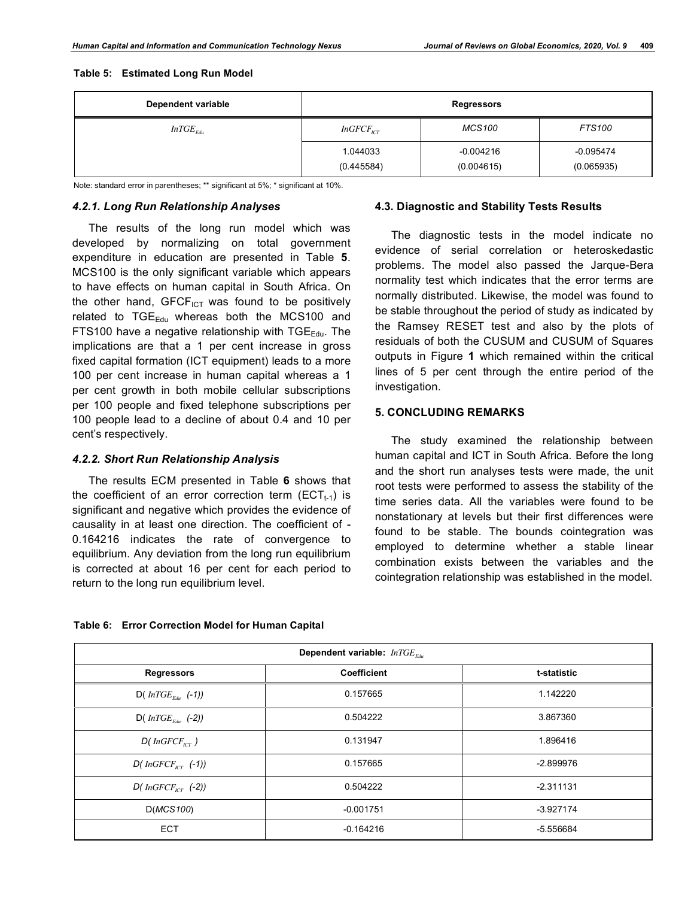#### **Table 5: Estimated Long Run Model**

| Dependent variable | <b>Regressors</b>                                                    |             |             |  |  |
|--------------------|----------------------------------------------------------------------|-------------|-------------|--|--|
| $InTGE_{Edu}$      | <b>MCS100</b><br><b>FTS100</b><br>$InGFCF_{\scriptscriptstyle{ICT}}$ |             |             |  |  |
|                    | 1.044033                                                             | $-0.004216$ | $-0.095474$ |  |  |
|                    | (0.445584)                                                           | (0.004615)  | (0.065935)  |  |  |

Note: standard error in parentheses; \*\* significant at 5%; \* significant at 10%.

# *4.2.1. Long Run Relationship Analyses*

The results of the long run model which was developed by normalizing on total government expenditure in education are presented in Table **5**. MCS100 is the only significant variable which appears to have effects on human capital in South Africa. On the other hand,  $GFCF_{\text{ICT}}$  was found to be positively related to  $TGE_{Edu}$  whereas both the MCS100 and FTS100 have a negative relationship with  $TGE_{Edu}$ . The implications are that a 1 per cent increase in gross fixed capital formation (ICT equipment) leads to a more 100 per cent increase in human capital whereas a 1 per cent growth in both mobile cellular subscriptions per 100 people and fixed telephone subscriptions per 100 people lead to a decline of about 0.4 and 10 per cent's respectively.

## *4.2.2. Short Run Relationship Analysis*

The results ECM presented in Table **6** shows that the coefficient of an error correction term ( $ECT_{t-1}$ ) is significant and negative which provides the evidence of causality in at least one direction. The coefficient of - 0.164216 indicates the rate of convergence to equilibrium. Any deviation from the long run equilibrium is corrected at about 16 per cent for each period to return to the long run equilibrium level.

## **4.3. Diagnostic and Stability Tests Results**

The diagnostic tests in the model indicate no evidence of serial correlation or heteroskedastic problems. The model also passed the Jarque-Bera normality test which indicates that the error terms are normally distributed. Likewise, the model was found to be stable throughout the period of study as indicated by the Ramsey RESET test and also by the plots of residuals of both the CUSUM and CUSUM of Squares outputs in Figure **1** which remained within the critical lines of 5 per cent through the entire period of the investigation.

# **5. CONCLUDING REMARKS**

The study examined the relationship between human capital and ICT in South Africa. Before the long and the short run analyses tests were made, the unit root tests were performed to assess the stability of the time series data. All the variables were found to be nonstationary at levels but their first differences were found to be stable. The bounds cointegration was employed to determine whether a stable linear combination exists between the variables and the cointegration relationship was established in the model.

| Dependent variable: $InICE_{Edw}$         |             |             |  |  |  |
|-------------------------------------------|-------------|-------------|--|--|--|
| <b>Regressors</b>                         | Coefficient | t-statistic |  |  |  |
| $D(\textit{InTGE}_{\textit{Fdu}}(-1))$    | 0.157665    | 1.142220    |  |  |  |
| $D(\text{InTGE}_{\text{Fdu}}(-2))$        | 0.504222    | 3.867360    |  |  |  |
| $D(InGFCF_{\scriptscriptstyle{ICT}})$     | 0.131947    | 1.896416    |  |  |  |
| $D(InGFCF_{\scriptscriptstyle{ICT}}(-1))$ | 0.157665    | $-2.899976$ |  |  |  |
| $D(InGFCF_{ICT} (-2))$                    | 0.504222    | $-2.311131$ |  |  |  |
| D(MCS100)                                 | $-0.001751$ | $-3.927174$ |  |  |  |
| <b>ECT</b>                                | $-0.164216$ | -5.556684   |  |  |  |

## **Table 6: Error Correction Model for Human Capital**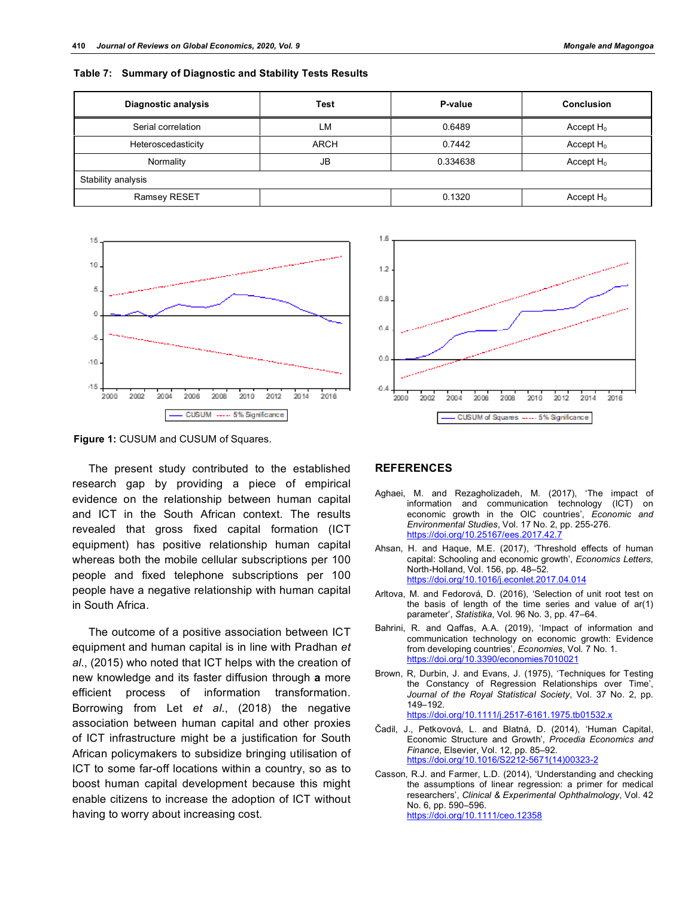|  |  | Table 7: Summary of Diagnostic and Stability Tests Results |  |  |  |
|--|--|------------------------------------------------------------|--|--|--|
|--|--|------------------------------------------------------------|--|--|--|

| <b>Diagnostic analysis</b> | Test        | P-value  | Conclusion   |  |
|----------------------------|-------------|----------|--------------|--|
| Serial correlation         | LM          | 0.6489   | Accept $H_0$ |  |
| Heteroscedasticity         | <b>ARCH</b> | 0.7442   | Accept $H_0$ |  |
| Normality                  | JB          | 0.334638 | Accept $H_0$ |  |
| Stability analysis         |             |          |              |  |
| Ramsey RESET               |             | 0.1320   | Accept $H_0$ |  |



**Figure 1:** CUSUM and CUSUM of Squares.

The present study contributed to the established research gap by providing a piece of empirical evidence on the relationship between human capital and ICT in the South African context. The results revealed that gross fixed capital formation (ICT equipment) has positive relationship human capital whereas both the mobile cellular subscriptions per 100 people and fixed telephone subscriptions per 100 people have a negative relationship with human capital in South Africa.

The outcome of a positive association between ICT equipment and human capital is in line with Pradhan *et al*., (2015) who noted that ICT helps with the creation of new knowledge and its faster diffusion through **a** more efficient process of information transformation. Borrowing from Let *et al*., (2018) the negative association between human capital and other proxies of ICT infrastructure might be a justification for South African policymakers to subsidize bringing utilisation of ICT to some far-off locations within a country, so as to boost human capital development because this might enable citizens to increase the adoption of ICT without having to worry about increasing cost.



## **REFERENCES**

- Aghaei, M. and Rezagholizadeh, M. (2017), 'The impact of information and communication technology (ICT) on economic growth in the OIC countries', *Economic and Environmental Studies*, Vol. 17 No. 2, pp. 255-276. https://doi.org/10.25167/ees.2017.42.7
- Ahsan, H. and Haque, M.E. (2017), 'Threshold effects of human capital: Schooling and economic growth', *Economics Letters*, North-Holland, Vol. 156, pp. 48–52. https://doi.org/10.1016/j.econlet.2017.04.014
- Arltova, M. and Fedorová, D. (2016), 'Selection of unit root test on the basis of length of the time series and value of ar(1) parameter', *Statistika*, Vol. 96 No. 3, pp. 47–64.
- Bahrini, R. and Qaffas, A.A. (2019), 'Impact of information and communication technology on economic growth: Evidence from developing countries', *Economies*, Vol. 7 No. 1. https://doi.org/10.3390/economies7010021
- Brown, R, Durbin, J. and Evans, J. (1975), 'Techniques for Testing the Constancy of Regression Relationships over Time', *Journal of the Royal Statistical Society*, Vol. 37 No. 2, pp. 149–192. https://doi.org/10.1111/j.2517-6161.1975.tb01532.x
- Čadil, J., Petkovová, L. and Blatná, D. (2014), 'Human Capital, Economic Structure and Growth', *Procedia Economics and Finance*, Elsevier, Vol. 12, pp. 85–92. https://doi.org/10.1016/S2212-5671(14)00323-2
- Casson, R.J. and Farmer, L.D. (2014), 'Understanding and checking the assumptions of linear regression: a primer for medical researchers', *Clinical & Experimental Ophthalmology*, Vol. 42 No. 6, pp. 590–596. https://doi.org/10.1111/ceo.12358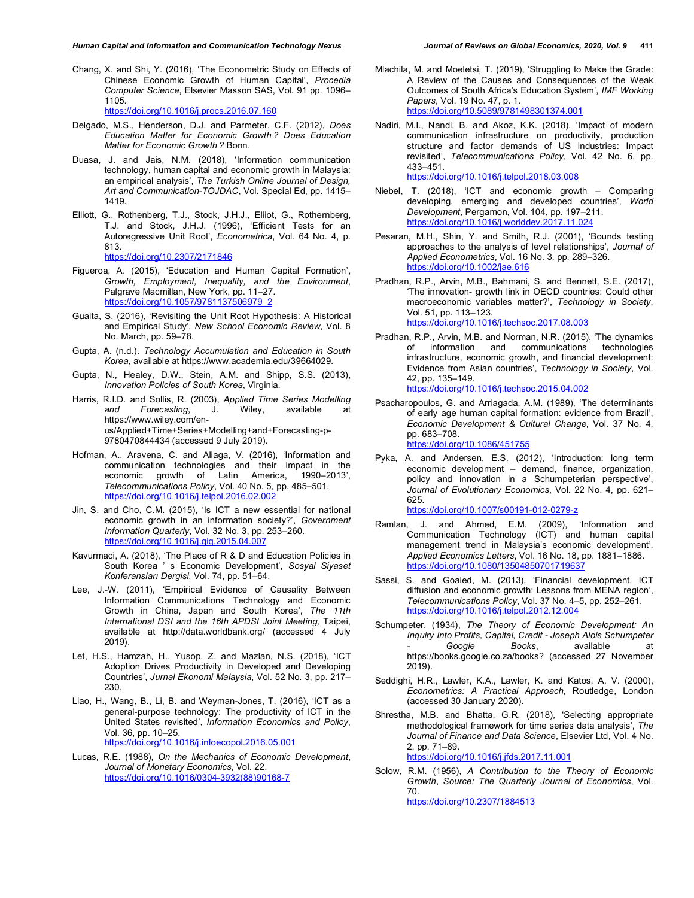Chang, X. and Shi, Y. (2016), 'The Econometric Study on Effects of Chinese Economic Growth of Human Capital', *Procedia Computer Science*, Elsevier Masson SAS, Vol. 91 pp. 1096– 1105.

https://doi.org/10.1016/j.procs.2016.07.160

- Delgado, M.S., Henderson, D.J. and Parmeter, C.F. (2012), *Does Education Matter for Economic Growth ? Does Education Matter for Economic Growth ?* Bonn.
- Duasa, J. and Jais, N.M. (2018), 'Information communication technology, human capital and economic growth in Malaysia: an empirical analysis', *The Turkish Online Journal of Design, Art and Communication-TOJDAC*, Vol. Special Ed, pp. 1415– 1419.
- Elliott, G., Rothenberg, T.J., Stock, J.H.J., Eliiot, G., Rothernberg, T.J. and Stock, J.H.J. (1996), 'Efficient Tests for an Autoregressive Unit Root', *Econometrica*, Vol. 64 No. 4, p. 813.

https://doi.org/10.2307/2171846

- Figueroa, A. (2015), 'Education and Human Capital Formation', *Growth, Employment, Inequality, and the Environment*, Palgrave Macmillan, New York, pp. 11–27. https://doi.org/10.1057/9781137506979\_2
- Guaita, S. (2016), 'Revisiting the Unit Root Hypothesis: A Historical and Empirical Study', *New School Economic Review*, Vol. 8 No. March, pp. 59–78.
- Gupta, A. (n.d.). *Technology Accumulation and Education in South Korea*, available at https://www.academia.edu/39664029.
- Gupta, N., Healey, D.W., Stein, A.M. and Shipp, S.S. (2013), *Innovation Policies of South Korea*, Virginia.
- Harris, R.I.D. and Sollis, R. (2003), *Applied Time Series Modelling and Forecasting*, J. Wiley, available at https://www.wiley.com/enus/Applied+Time+Series+Modelling+and+Forecasting-p-9780470844434 (accessed 9 July 2019).
- Hofman, A., Aravena, C. and Aliaga, V. (2016), 'Information and communication technologies and their impact in the economic growth of Latin America, 1990–2013', *Telecommunications Policy*, Vol. 40 No. 5, pp. 485–501. https://doi.org/10.1016/j.telpol.2016.02.002
- Jin, S. and Cho, C.M. (2015), 'Is ICT a new essential for national economic growth in an information society?', *Government Information Quarterly*, Vol. 32 No. 3, pp. 253–260. https://doi.org/10.1016/j.giq.2015.04.007
- Kavurmaci, A. (2018), 'The Place of R & D and Education Policies in South Korea ' s Economic Development', *Sosyal Siyaset Konferansları Dergisi*, Vol. 74, pp. 51–64.
- Lee, J.-W. (2011), 'Empirical Evidence of Causality Between Information Communications Technology and Economic Growth in China, Japan and South Korea', *The 11th International DSI and the 16th APDSI Joint Meeting,* Taipei, available at http://data.worldbank.org/ (accessed 4 July 2019).
- Let, H.S., Hamzah, H., Yusop, Z. and Mazlan, N.S. (2018), 'ICT Adoption Drives Productivity in Developed and Developing Countries', *Jurnal Ekonomi Malaysia*, Vol. 52 No. 3, pp. 217– 230.
- Liao, H., Wang, B., Li, B. and Weyman-Jones, T. (2016), 'ICT as a general-purpose technology: The productivity of ICT in the United States revisited', *Information Economics and Policy*, Vol. 36, pp. 10–25. https://doi.org/10.1016/j.infoecopol.2016.05.001
- Lucas, R.E. (1988), *On the Mechanics of Economic Development*, *Journal of Monetary Economics*, Vol. 22. https://doi.org/10.1016/0304-3932(88)90168-7
- Mlachila, M. and Moeletsi, T. (2019), 'Struggling to Make the Grade: A Review of the Causes and Consequences of the Weak Outcomes of South Africa's Education System', *IMF Working Papers*, Vol. 19 No. 47, p. 1. https://doi.org/10.5089/9781498301374.001
- Nadiri, M.I., Nandi, B. and Akoz, K.K. (2018), 'Impact of modern communication infrastructure on productivity, production structure and factor demands of US industries: Impact revisited', *Telecommunications Policy*, Vol. 42 No. 6, pp. 433–451. https://doi.org/10.1016/j.telpol.2018.03.008
- Niebel, T. (2018), 'ICT and economic growth Comparing developing, emerging and developed countries', *World Development*, Pergamon, Vol. 104, pp. 197–211. https://doi.org/10.1016/j.worlddev.2017.11.024
- Pesaran, M.H., Shin, Y. and Smith, R.J. (2001), 'Bounds testing approaches to the analysis of level relationships', *Journal of Applied Econometrics*, Vol. 16 No. 3, pp. 289–326. https://doi.org/10.1002/jae.616
- Pradhan, R.P., Arvin, M.B., Bahmani, S. and Bennett, S.E. (2017), 'The innovation- growth link in OECD countries: Could other macroeconomic variables matter?', *Technology in Society*, Vol. 51, pp. 113–123. https://doi.org/10.1016/j.techsoc.2017.08.003
- Pradhan, R.P., Arvin, M.B. and Norman, N.R. (2015), 'The dynamics of information and communications infrastructure, economic growth, and financial development: Evidence from Asian countries', *Technology in Society*, Vol. 42, pp. 135–149. https://doi.org/10.1016/j.techsoc.2015.04.002
- Psacharopoulos, G. and Arriagada, A.M. (1989), 'The determinants of early age human capital formation: evidence from Brazil', *Economic Development & Cultural Change*, Vol. 37 No. 4, pp. 683–708. https://doi.org/10.1086/451755
- Pyka, A. and Andersen, E.S. (2012), 'Introduction: long term economic development – demand, finance, organization, policy and innovation in a Schumpeterian perspective', *Journal of Evolutionary Economics*, Vol. 22 No. 4, pp. 621– 625.

https://doi.org/10.1007/s00191-012-0279-z

- Ramlan, J. and Ahmed, E.M. (2009), 'Information and Communication Technology (ICT) and human capital management trend in Malaysia's economic development', *Applied Economics Letters*, Vol. 16 No. 18, pp. 1881–1886. https://doi.org/10.1080/13504850701719637
- Sassi, S. and Goaied, M. (2013), 'Financial development, ICT diffusion and economic growth: Lessons from MENA region', *Telecommunications Policy*, Vol. 37 No. 4–5, pp. 252–261. https://doi.org/10.1016/j.telpol.2012.12.004
- Schumpeter. (1934), *The Theory of Economic Development: An Inquiry Into Profits, Capital, Credit - Joseph Alois Schumpeter*  Google Books, available at https://books.google.co.za/books? (accessed 27 November 2019).
- Seddighi, H.R., Lawler, K.A., Lawler, K. and Katos, A. V. (2000), *Econometrics: A Practical Approach*, Routledge, London (accessed 30 January 2020).
- Shrestha, M.B. and Bhatta, G.R. (2018), 'Selecting appropriate methodological framework for time series data analysis', *The Journal of Finance and Data Science*, Elsevier Ltd, Vol. 4 No. 2, pp. 71–89. https://doi.org/10.1016/j.jfds.2017.11.001
- Solow, R.M. (1956), *A Contribution to the Theory of Economic Growth*, *Source: The Quarterly Journal of Economics*, Vol. 70. https://doi.org/10.2307/1884513